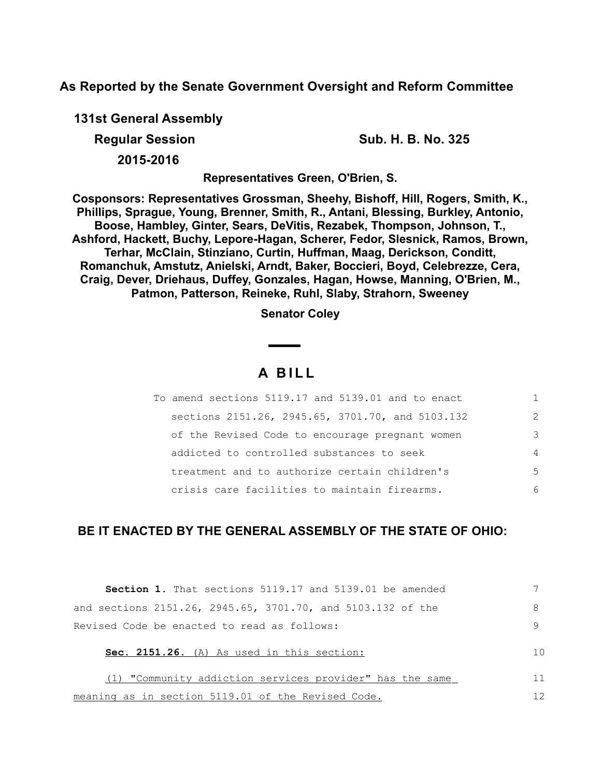**As Reported by the Senate Government Oversight and Reform Committee**

**131st General Assembly**

**Regular Session Sub. H. B. No. 325** 

**2015-2016**

**Representatives Green, O'Brien, S.**

**Cosponsors: Representatives Grossman, Sheehy, Bishoff, Hill, Rogers, Smith, K., Phillips, Sprague, Young, Brenner, Smith, R., Antani, Blessing, Burkley, Antonio, Boose, Hambley, Ginter, Sears, DeVitis, Rezabek, Thompson, Johnson, T., Ashford, Hackett, Buchy, Lepore-Hagan, Scherer, Fedor, Slesnick, Ramos, Brown, Terhar, McClain, Stinziano, Curtin, Huffman, Maag, Derickson, Conditt, Romanchuk, Amstutz, Anielski, Arndt, Baker, Boccieri, Boyd, Celebrezze, Cera, Craig, Dever, Driehaus, Duffey, Gonzales, Hagan, Howse, Manning, O'Brien, M., Patmon, Patterson, Reineke, Ruhl, Slaby, Strahorn, Sweeney**

**Senator Coley**

# **A B I L L**

| To amend sections 5119.17 and 5139.01 and to enact |                |
|----------------------------------------------------|----------------|
| sections 2151.26, 2945.65, 3701.70, and 5103.132   | $\mathcal{L}$  |
| of the Revised Code to encourage pregnant women    | 3              |
| addicted to controlled substances to seek          | $\overline{4}$ |
| treatment and to authorize certain children's      | 5              |
| crisis care facilities to maintain firearms.       | 6              |

# **BE IT ENACTED BY THE GENERAL ASSEMBLY OF THE STATE OF OHIO:**

| <b>Section 1.</b> That sections 5119.17 and 5139.01 be amended |    |
|----------------------------------------------------------------|----|
| and sections 2151.26, 2945.65, 3701.70, and 5103.132 of the    | 8  |
| Revised Code be enacted to read as follows:                    |    |
| Sec. 2151.26. (A) As used in this section:                     | 10 |
| (1) "Community addiction services provider" has the same       | 11 |
| meaning as in section 5119.01 of the Revised Code.             | 12 |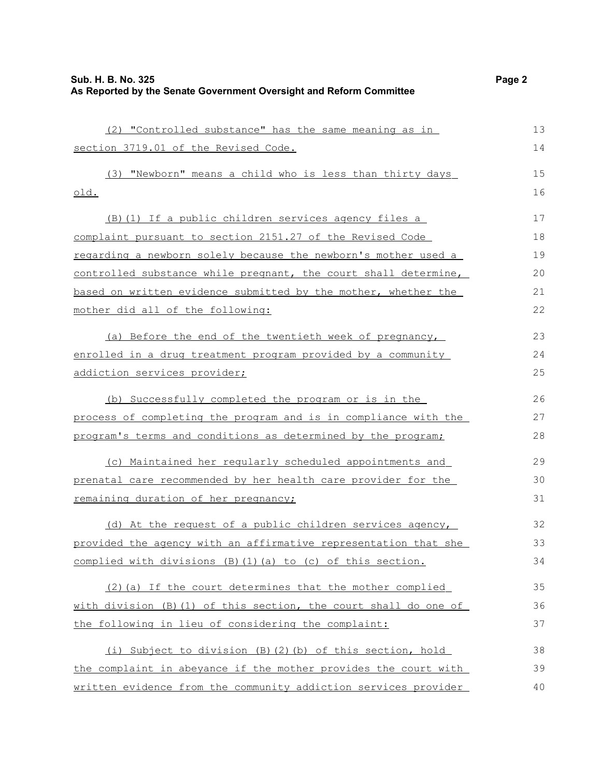| (2) "Controlled substance" has the same meaning as in              | 13 |
|--------------------------------------------------------------------|----|
| section 3719.01 of the Revised Code.                               | 14 |
| (3) "Newborn" means a child who is less than thirty days           | 15 |
| <u>old.</u>                                                        | 16 |
| (B) (1) If a public children services agency files a               | 17 |
| complaint pursuant to section 2151.27 of the Revised Code          | 18 |
| regarding a newborn solely because the newborn's mother used a     | 19 |
| controlled substance while pregnant, the court shall determine,    | 20 |
| based on written evidence submitted by the mother, whether the     | 21 |
| mother did all of the following:                                   | 22 |
| (a) Before the end of the twentieth week of pregnancy,             | 23 |
| enrolled in a drug treatment program provided by a community       | 24 |
| addiction services provider;                                       | 25 |
| (b) Successfully completed the program or is in the                | 26 |
| process of completing the program and is in compliance with the    | 27 |
| program's terms and conditions as determined by the program;       | 28 |
| (c) Maintained her regularly scheduled appointments and            | 29 |
| prenatal care recommended by her health care provider for the      | 30 |
| remaining duration of her pregnancy;                               | 31 |
| (d) At the request of a public children services agency,           | 32 |
| provided the agency with an affirmative representation that she    | 33 |
| complied with divisions (B) (1) (a) to (c) of this section.        | 34 |
| (2) (a) If the court determines that the mother complied           | 35 |
| with division $(B) (1)$ of this section, the court shall do one of | 36 |
| the following in lieu of considering the complaint:                | 37 |
| (i) Subject to division (B)(2)(b) of this section, hold            | 38 |
| the complaint in abeyance if the mother provides the court with    | 39 |
| written evidence from the community addiction services provider    | 40 |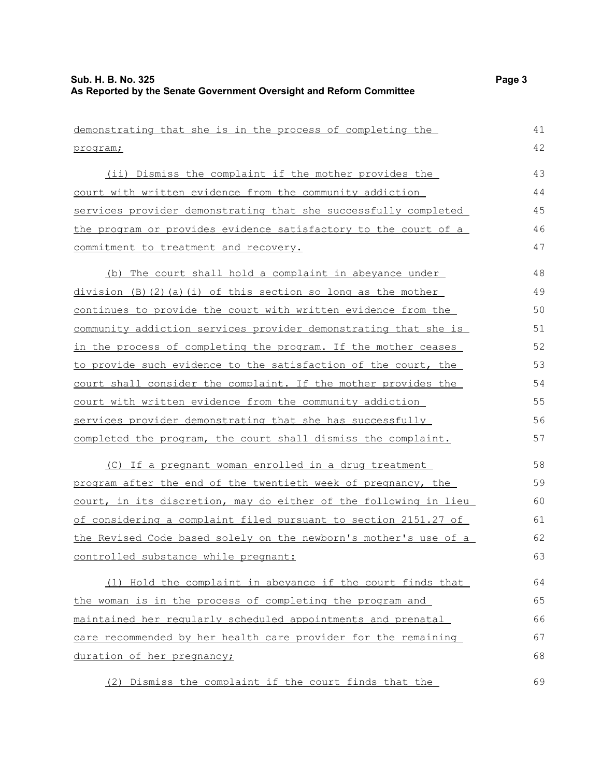```
demonstrating that she is in the process of completing the
program;
     (ii) Dismiss the complaint if the mother provides the
court with written evidence from the community addiction
services provider demonstrating that she successfully completed
the program or provides evidence satisfactory to the court of a
commitment to treatment and recovery.
     (b) The court shall hold a complaint in abeyance under
division (B)(2)(a)(i) of this section so long as the mother
continues to provide the court with written evidence from the
community addiction services provider demonstrating that she is
in the process of completing the program. If the mother ceases
to provide such evidence to the satisfaction of the court, the
court shall consider the complaint. If the mother provides the
court with written evidence from the community addiction
services provider demonstrating that she has successfully
completed the program, the court shall dismiss the complaint.
     (C) If a pregnant woman enrolled in a drug treatment
program after the end of the twentieth week of pregnancy, the
court, in its discretion, may do either of the following in lieu
of considering a complaint filed pursuant to section 2151.27 of
the Revised Code based solely on the newborn's mother's use of a
 controlled substance while pregnant:
     (1) Hold the complaint in abeyance if the court finds that
the woman is in the process of completing the program and
maintained her regularly scheduled appointments and prenatal
care recommended by her health care provider for the remaining
duration of her pregnancy;
     (2) Dismiss the complaint if the court finds that the
                                                                          41
                                                                          42
                                                                          43
                                                                          44
                                                                          45
                                                                          46
                                                                          47
                                                                          48
                                                                          49
                                                                          50
                                                                          51
                                                                          52
                                                                          53
                                                                          54
                                                                          55
                                                                          56
                                                                          57
                                                                          58
                                                                          59
                                                                          60
                                                                          61
                                                                          62
                                                                          63
                                                                          64
                                                                          65
                                                                          66
                                                                          67
                                                                          68
                                                                          69
```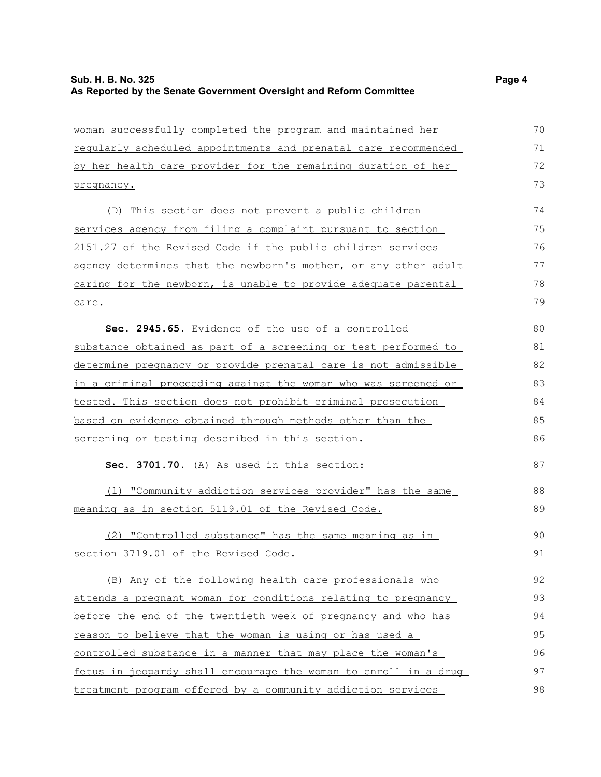| woman successfully completed the program and maintained her            | 70 |
|------------------------------------------------------------------------|----|
| reqularly scheduled appointments and prenatal care recommended         | 71 |
| by her health care provider for the remaining duration of her          | 72 |
| pregnancy.                                                             | 73 |
| (D) This section does not prevent a public children                    | 74 |
| services agency from filing a complaint pursuant to section            | 75 |
| 2151.27 of the Revised Code if the public children services            | 76 |
| agency determines that the newborn's mother, or any other adult        | 77 |
| caring for the newborn, is unable to provide adequate parental         | 78 |
| care.                                                                  | 79 |
| Sec. 2945.65. Evidence of the use of a controlled                      | 80 |
| substance obtained as part of a screening or test performed to         | 81 |
| determine pregnancy or provide prenatal care is not admissible         | 82 |
| <u>in a criminal proceeding against the woman who was screened or </u> | 83 |
| tested. This section does not prohibit criminal prosecution            | 84 |
| based on evidence obtained through methods other than the              | 85 |
| screening or testing described in this section.                        | 86 |
| Sec. 3701.70. (A) As used in this section:                             | 87 |
| (1) "Community addiction services provider" has the same               | 88 |
| meaning as in section 5119.01 of the Revised Code.                     | 89 |
| (2) "Controlled substance" has the same meaning as in                  | 90 |
| section 3719.01 of the Revised Code.                                   | 91 |
| (B) Any of the following health care professionals who                 | 92 |
| attends a pregnant woman for conditions relating to pregnancy          | 93 |
| before the end of the twentieth week of pregnancy and who has          | 94 |
| reason to believe that the woman is using or has used a                | 95 |
| controlled substance in a manner that may place the woman's            | 96 |
| fetus in jeopardy shall encourage the woman to enroll in a drug        | 97 |
| treatment program offered by a community addiction services            | 98 |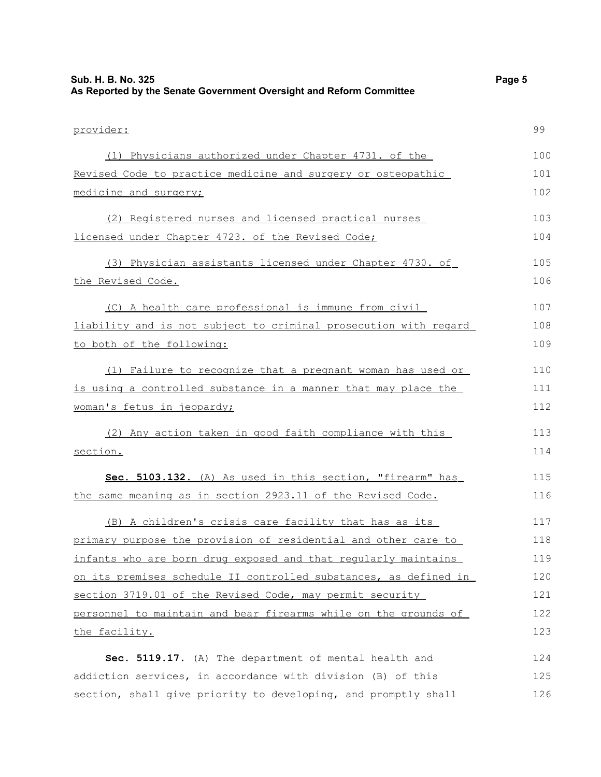| Sub. H. B. No. 325                                                  | Page 5 |
|---------------------------------------------------------------------|--------|
| As Reported by the Senate Government Oversight and Reform Committee |        |

| provider:                                                        | 99  |
|------------------------------------------------------------------|-----|
| (1) Physicians authorized under Chapter 4731. of the             | 100 |
| Revised Code to practice medicine and surgery or osteopathic     | 101 |
| medicine and surgery;                                            | 102 |
| (2) Registered nurses and licensed practical nurses              | 103 |
| licensed under Chapter 4723. of the Revised Code;                | 104 |
| (3) Physician assistants licensed under Chapter 4730. of         | 105 |
| the Revised Code.                                                | 106 |
| (C) A health care professional is immune from civil              | 107 |
| liability and is not subject to criminal prosecution with regard | 108 |
| to both of the following:                                        | 109 |
| (1) Failure to recognize that a pregnant woman has used or       | 110 |
| is using a controlled substance in a manner that may place the   | 111 |
| woman's fetus in jeopardy;                                       | 112 |
| (2) Any action taken in good faith compliance with this          | 113 |
| section.                                                         | 114 |
| Sec. 5103.132. (A) As used in this section, "firearm" has        | 115 |
| the same meaning as in section 2923.11 of the Revised Code.      | 116 |
| (B) A children's crisis care facility that has as its            | 117 |
| primary purpose the provision of residential and other care to   | 118 |
| infants who are born drug exposed and that regularly maintains   | 119 |
| on its premises schedule II controlled substances, as defined in | 120 |
| section 3719.01 of the Revised Code, may permit security         | 121 |
| personnel to maintain and bear firearms while on the grounds of  | 122 |
| the facility.                                                    | 123 |
| Sec. 5119.17. (A) The department of mental health and            | 124 |
| addiction services, in accordance with division (B) of this      | 125 |
| section, shall give priority to developing, and promptly shall   | 126 |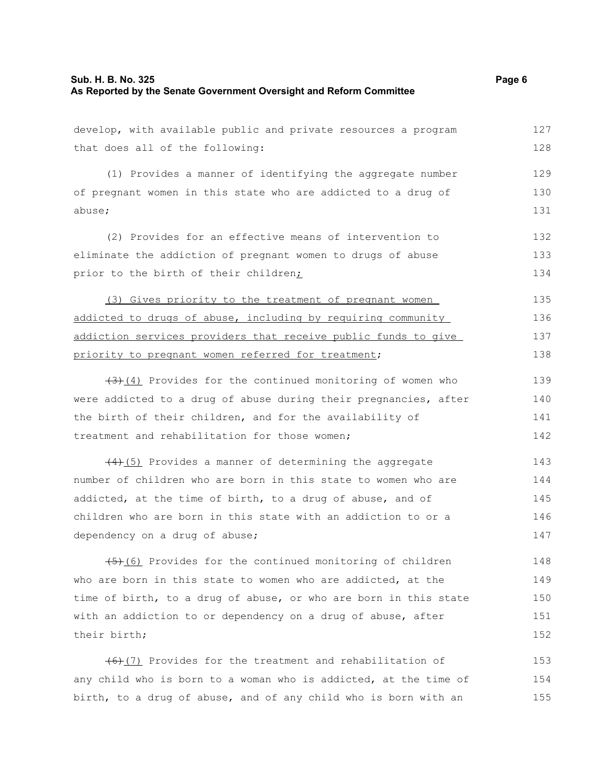#### **Sub. H. B. No. 325 Page 6 As Reported by the Senate Government Oversight and Reform Committee**

develop, with available public and private resources a program that does all of the following: (1) Provides a manner of identifying the aggregate number of pregnant women in this state who are addicted to a drug of abuse; (2) Provides for an effective means of intervention to eliminate the addiction of pregnant women to drugs of abuse prior to the birth of their children; (3) Gives priority to the treatment of pregnant women addicted to drugs of abuse, including by requiring community addiction services providers that receive public funds to give priority to pregnant women referred for treatment;  $(3)$ (4) Provides for the continued monitoring of women who were addicted to a drug of abuse during their pregnancies, after the birth of their children, and for the availability of treatment and rehabilitation for those women;  $(4)$ (5) Provides a manner of determining the aggregate number of children who are born in this state to women who are addicted, at the time of birth, to a drug of abuse, and of children who are born in this state with an addiction to or a 127 128 129 130 131 132 133 134 135 136 137 138 139 140 141 142 143 144 145 146

 $(5)$  (6) Provides for the continued monitoring of children who are born in this state to women who are addicted, at the time of birth, to a drug of abuse, or who are born in this state with an addiction to or dependency on a drug of abuse, after their birth; 148 149 150 151 152

dependency on a drug of abuse;

 $(6)$ (7) Provides for the treatment and rehabilitation of any child who is born to a woman who is addicted, at the time of birth, to a drug of abuse, and of any child who is born with an 153 154 155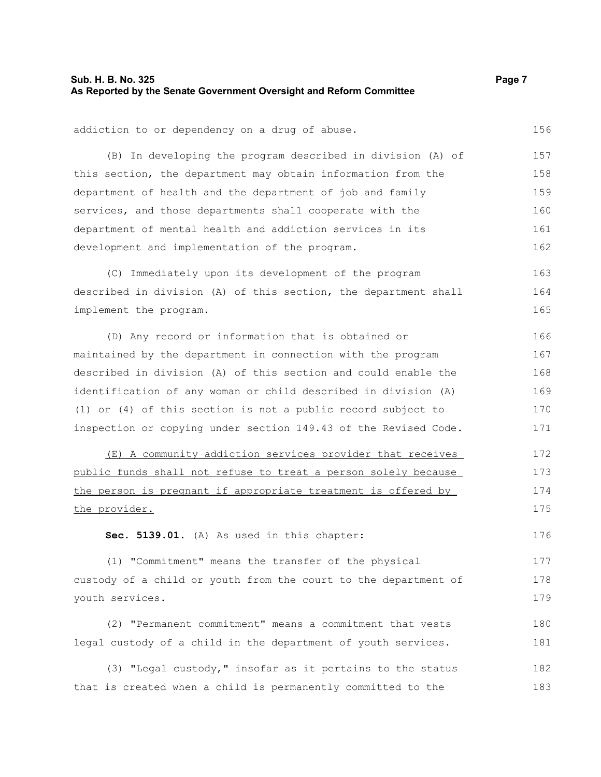## **Sub. H. B. No. 325 Page 7 As Reported by the Senate Government Oversight and Reform Committee**

| addiction to or dependency on a drug of abuse.                  | 156 |
|-----------------------------------------------------------------|-----|
| (B) In developing the program described in division (A) of      | 157 |
| this section, the department may obtain information from the    | 158 |
| department of health and the department of job and family       | 159 |
| services, and those departments shall cooperate with the        | 160 |
| department of mental health and addiction services in its       | 161 |
| development and implementation of the program.                  | 162 |
| (C) Immediately upon its development of the program             | 163 |
| described in division (A) of this section, the department shall | 164 |
| implement the program.                                          | 165 |
| (D) Any record or information that is obtained or               | 166 |
| maintained by the department in connection with the program     | 167 |
| described in division (A) of this section and could enable the  | 168 |
| identification of any woman or child described in division (A)  | 169 |
| (1) or (4) of this section is not a public record subject to    | 170 |
| inspection or copying under section 149.43 of the Revised Code. | 171 |
| (E) A community addiction services provider that receives       | 172 |
| public funds shall not refuse to treat a person solely because  | 173 |
| the person is pregnant if appropriate treatment is offered by   | 174 |

**Sec. 5139.01.** (A) As used in this chapter:

the provider.

(1) "Commitment" means the transfer of the physical custody of a child or youth from the court to the department of youth services. 177 178 179

(2) "Permanent commitment" means a commitment that vests legal custody of a child in the department of youth services. 180 181

(3) "Legal custody," insofar as it pertains to the status that is created when a child is permanently committed to the 182 183

156

175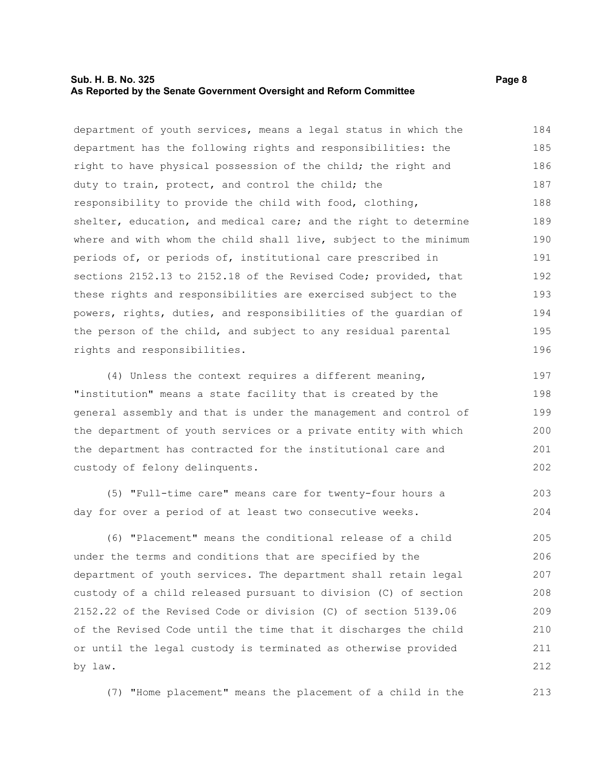#### **Sub. H. B. No. 325 Page 8 As Reported by the Senate Government Oversight and Reform Committee**

department of youth services, means a legal status in which the department has the following rights and responsibilities: the right to have physical possession of the child; the right and duty to train, protect, and control the child; the responsibility to provide the child with food, clothing, shelter, education, and medical care; and the right to determine where and with whom the child shall live, subject to the minimum periods of, or periods of, institutional care prescribed in sections 2152.13 to 2152.18 of the Revised Code; provided, that these rights and responsibilities are exercised subject to the powers, rights, duties, and responsibilities of the guardian of the person of the child, and subject to any residual parental rights and responsibilities. 184 185 186 187 188 189 190 191 192 193 194 195 196

(4) Unless the context requires a different meaning, "institution" means a state facility that is created by the general assembly and that is under the management and control of the department of youth services or a private entity with which the department has contracted for the institutional care and custody of felony delinquents. 197 198 199 200 201 202

(5) "Full-time care" means care for twenty-four hours a day for over a period of at least two consecutive weeks. 203 204

(6) "Placement" means the conditional release of a child under the terms and conditions that are specified by the department of youth services. The department shall retain legal custody of a child released pursuant to division (C) of section 2152.22 of the Revised Code or division (C) of section 5139.06 of the Revised Code until the time that it discharges the child or until the legal custody is terminated as otherwise provided by law. 205 206 207 208 209 210 211 212

(7) "Home placement" means the placement of a child in the 213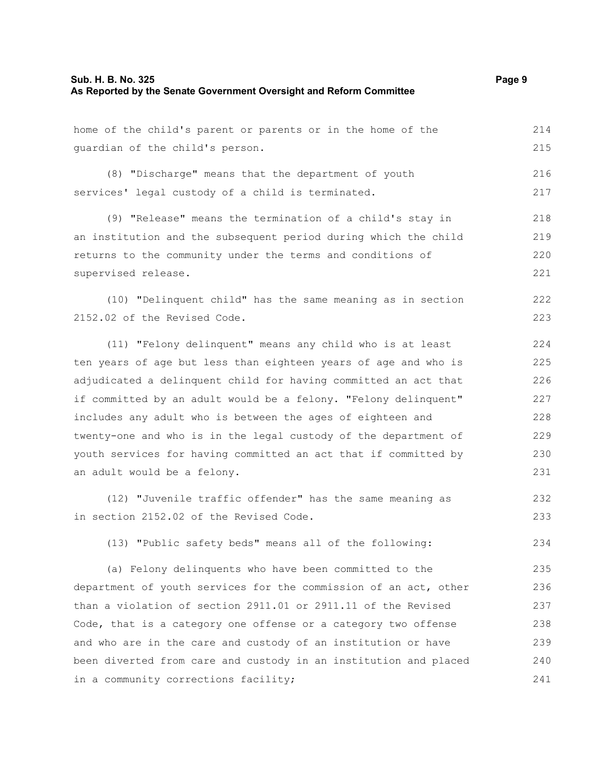guardian of the child's person.

(8) "Discharge" means that the department of youth services' legal custody of a child is terminated. 216

(9) "Release" means the termination of a child's stay in an institution and the subsequent period during which the child returns to the community under the terms and conditions of supervised release. 218 219 220 221

(10) "Delinquent child" has the same meaning as in section 2152.02 of the Revised Code. 222 223

(11) "Felony delinquent" means any child who is at least ten years of age but less than eighteen years of age and who is adjudicated a delinquent child for having committed an act that if committed by an adult would be a felony. "Felony delinquent" includes any adult who is between the ages of eighteen and twenty-one and who is in the legal custody of the department of youth services for having committed an act that if committed by an adult would be a felony. 224 225 226 227 228 229 230 231

(12) "Juvenile traffic offender" has the same meaning as in section 2152.02 of the Revised Code. 232 233

(13) "Public safety beds" means all of the following:

(a) Felony delinquents who have been committed to the department of youth services for the commission of an act, other than a violation of section 2911.01 or 2911.11 of the Revised Code, that is a category one offense or a category two offense and who are in the care and custody of an institution or have been diverted from care and custody in an institution and placed in a community corrections facility; 235 236 237 238 239 240 241

214 215

217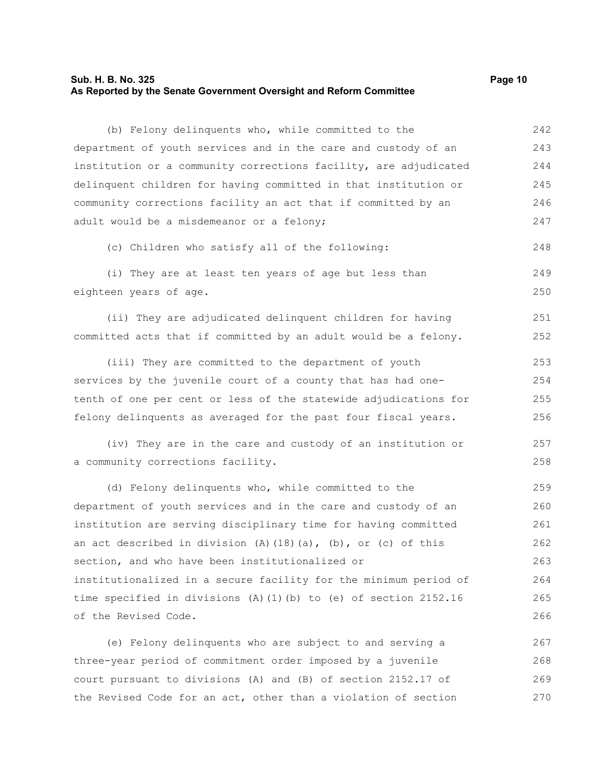#### **Sub. H. B. No. 325 Page 10 As Reported by the Senate Government Oversight and Reform Committee**

(b) Felony delinquents who, while committed to the department of youth services and in the care and custody of an institution or a community corrections facility, are adjudicated delinquent children for having committed in that institution or community corrections facility an act that if committed by an adult would be a misdemeanor or a felony; (c) Children who satisfy all of the following: (i) They are at least ten years of age but less than eighteen years of age. (ii) They are adjudicated delinquent children for having committed acts that if committed by an adult would be a felony. (iii) They are committed to the department of youth services by the juvenile court of a county that has had onetenth of one per cent or less of the statewide adjudications for felony delinquents as averaged for the past four fiscal years. (iv) They are in the care and custody of an institution or a community corrections facility. (d) Felony delinquents who, while committed to the department of youth services and in the care and custody of an institution are serving disciplinary time for having committed an act described in division  $(A)$   $(18)$   $(a)$ ,  $(b)$ , or  $(c)$  of this section, and who have been institutionalized or institutionalized in a secure facility for the minimum period of time specified in divisions (A)(1)(b) to (e) of section 2152.16 of the Revised Code. (e) Felony delinquents who are subject to and serving a three-year period of commitment order imposed by a juvenile 242 243 244 245 246 247 248 249 250 251 252 253 254 255 256 257 258 259 260 261 262 263 264 265 266 267 268

court pursuant to divisions (A) and (B) of section 2152.17 of the Revised Code for an act, other than a violation of section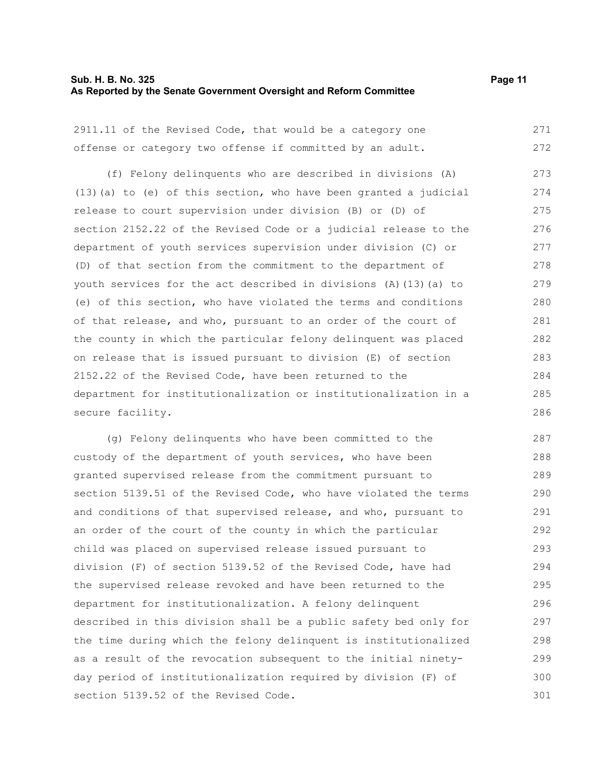#### **Sub. H. B. No. 325 Page 11 As Reported by the Senate Government Oversight and Reform Committee**

| 2911.11 of the Revised Code, that would be a category one           | 271 |
|---------------------------------------------------------------------|-----|
| offense or category two offense if committed by an adult.           | 272 |
| (f) Felony delinquents who are described in divisions (A)           | 273 |
| $(13)$ (a) to (e) of this section, who have been granted a judicial | 274 |
| release to court supervision under division (B) or (D) of           | 275 |
| section 2152.22 of the Revised Code or a judicial release to the    | 276 |
| department of youth services supervision under division (C) or      | 277 |
| (D) of that section from the commitment to the department of        | 278 |
| youth services for the act described in divisions (A) (13) (a) to   | 279 |
| (e) of this section, who have violated the terms and conditions     | 280 |
| of that release, and who, pursuant to an order of the court of      | 281 |
| the county in which the particular felony delinquent was placed     | 282 |
| on release that is issued pursuant to division (E) of section       | 283 |
| 2152.22 of the Revised Code, have been returned to the              | 284 |
| department for institutionalization or institutionalization in a    | 285 |
| secure facility.                                                    | 286 |
|                                                                     |     |

(g) Felony delinquents who have been committed to the custody of the department of youth services, who have been granted supervised release from the commitment pursuant to section 5139.51 of the Revised Code, who have violated the terms and conditions of that supervised release, and who, pursuant to an order of the court of the county in which the particular child was placed on supervised release issued pursuant to division (F) of section 5139.52 of the Revised Code, have had the supervised release revoked and have been returned to the department for institutionalization. A felony delinquent described in this division shall be a public safety bed only for the time during which the felony delinquent is institutionalized as a result of the revocation subsequent to the initial ninetyday period of institutionalization required by division (F) of section 5139.52 of the Revised Code. 287 288 289 290 291 292 293 294 295 296 297 298 299 300 301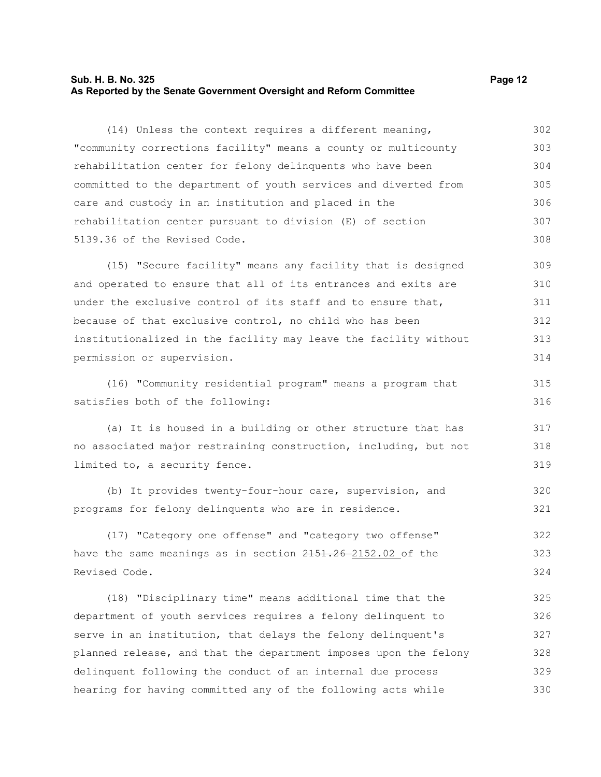#### **Sub. H. B. No. 325 Page 12 As Reported by the Senate Government Oversight and Reform Committee**

(14) Unless the context requires a different meaning, "community corrections facility" means a county or multicounty rehabilitation center for felony delinquents who have been committed to the department of youth services and diverted from care and custody in an institution and placed in the rehabilitation center pursuant to division (E) of section 5139.36 of the Revised Code. 302 303 304 305 306 307 308

(15) "Secure facility" means any facility that is designed and operated to ensure that all of its entrances and exits are under the exclusive control of its staff and to ensure that, because of that exclusive control, no child who has been institutionalized in the facility may leave the facility without permission or supervision. 309 310 311 312 313 314

(16) "Community residential program" means a program that satisfies both of the following: 315 316

(a) It is housed in a building or other structure that has no associated major restraining construction, including, but not limited to, a security fence. 317 318 319

(b) It provides twenty-four-hour care, supervision, and programs for felony delinquents who are in residence. 320 321

(17) "Category one offense" and "category two offense" have the same meanings as in section  $2151.26 - 2152.02$  of the Revised Code. 322 323 324

(18) "Disciplinary time" means additional time that the department of youth services requires a felony delinquent to serve in an institution, that delays the felony delinquent's planned release, and that the department imposes upon the felony delinquent following the conduct of an internal due process hearing for having committed any of the following acts while 325 326 327 328 329 330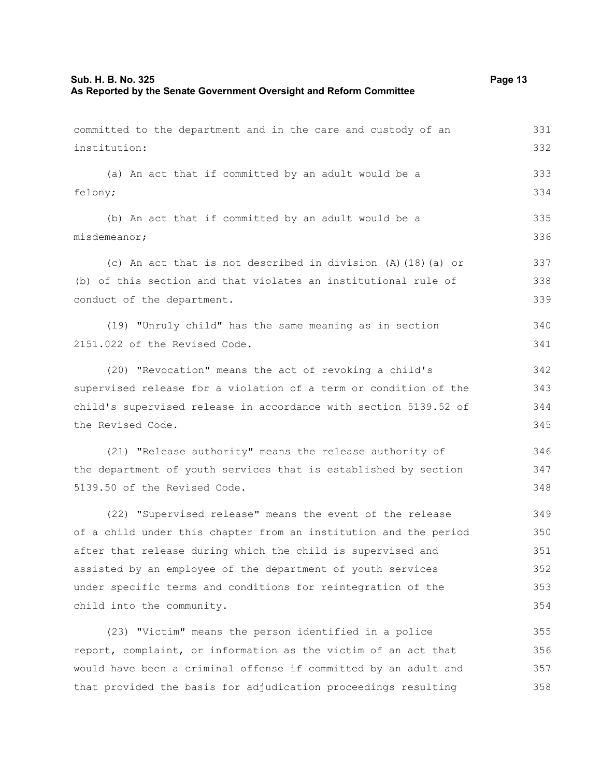# **Sub. H. B. No. 325 Page 13 As Reported by the Senate Government Oversight and Reform Committee**

| committed to the department and in the care and custody of an    | 331 |
|------------------------------------------------------------------|-----|
| institution:                                                     | 332 |
| (a) An act that if committed by an adult would be a              | 333 |
| felony;                                                          | 334 |
| (b) An act that if committed by an adult would be a              | 335 |
| misdemeanor;                                                     | 336 |
| (c) An act that is not described in division $(A)$ (18) (a) or   | 337 |
| (b) of this section and that violates an institutional rule of   | 338 |
| conduct of the department.                                       | 339 |
| (19) "Unruly child" has the same meaning as in section           | 340 |
| 2151.022 of the Revised Code.                                    | 341 |
| (20) "Revocation" means the act of revoking a child's            | 342 |
| supervised release for a violation of a term or condition of the | 343 |
| child's supervised release in accordance with section 5139.52 of | 344 |
| the Revised Code.                                                | 345 |
| (21) "Release authority" means the release authority of          | 346 |
| the department of youth services that is established by section  | 347 |
| 5139.50 of the Revised Code.                                     | 348 |
| (22) "Supervised release" means the event of the release         | 349 |
| of a child under this chapter from an institution and the period | 350 |
| after that release during which the child is supervised and      | 351 |
| assisted by an employee of the department of youth services      | 352 |
| under specific terms and conditions for reintegration of the     | 353 |
| child into the community.                                        | 354 |
| (23) "Victim" means the person identified in a police            | 355 |
| report, complaint, or information as the victim of an act that   | 356 |
| would have been a criminal offense if committed by an adult and  | 357 |
| that provided the basis for adjudication proceedings resulting   | 358 |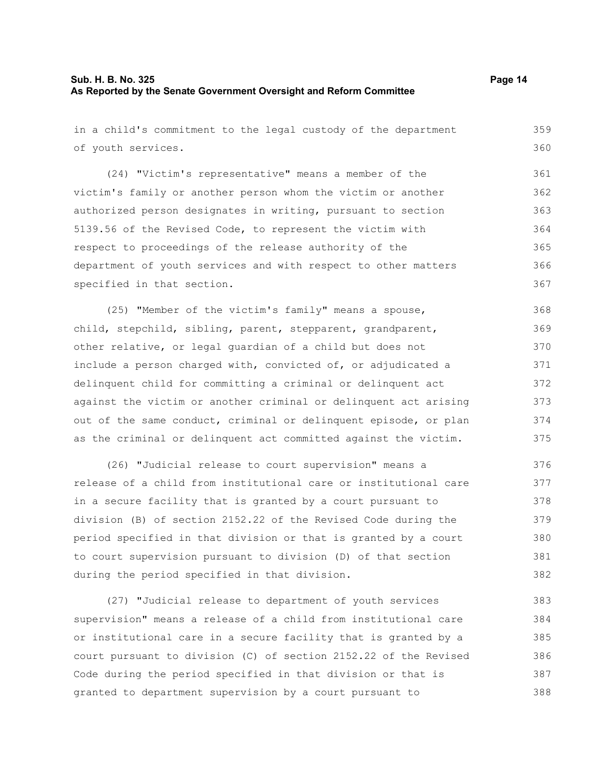in a child's commitment to the legal custody of the department of youth services. (24) "Victim's representative" means a member of the victim's family or another person whom the victim or another authorized person designates in writing, pursuant to section 5139.56 of the Revised Code, to represent the victim with respect to proceedings of the release authority of the department of youth services and with respect to other matters specified in that section. (25) "Member of the victim's family" means a spouse, child, stepchild, sibling, parent, stepparent, grandparent, 359 360 361 362 363 364 365 366 367 368 369

other relative, or legal guardian of a child but does not include a person charged with, convicted of, or adjudicated a delinquent child for committing a criminal or delinquent act against the victim or another criminal or delinquent act arising out of the same conduct, criminal or delinquent episode, or plan as the criminal or delinquent act committed against the victim. 370 371 372 373 374 375

(26) "Judicial release to court supervision" means a release of a child from institutional care or institutional care in a secure facility that is granted by a court pursuant to division (B) of section 2152.22 of the Revised Code during the period specified in that division or that is granted by a court to court supervision pursuant to division (D) of that section during the period specified in that division. 376 377 378 379 380 381 382

(27) "Judicial release to department of youth services supervision" means a release of a child from institutional care or institutional care in a secure facility that is granted by a court pursuant to division (C) of section 2152.22 of the Revised Code during the period specified in that division or that is granted to department supervision by a court pursuant to 383 384 385 386 387 388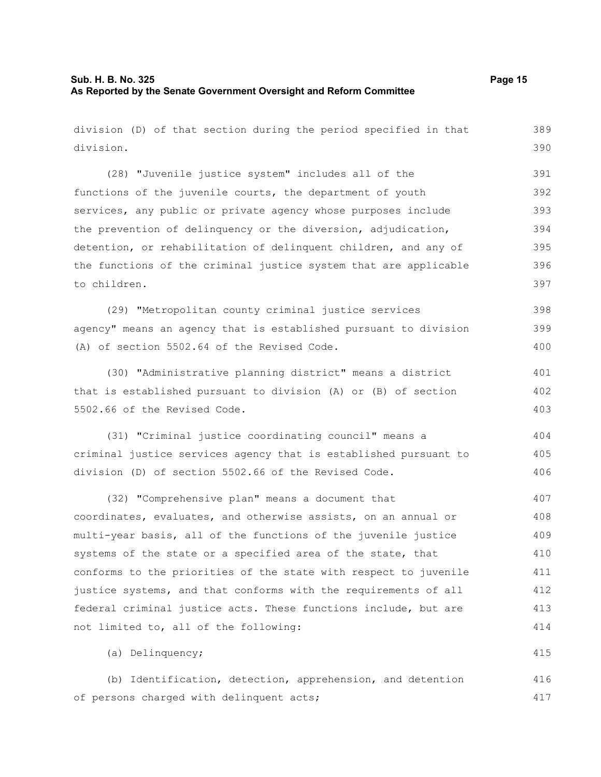| division (D) of that section during the period specified in that | 389 |
|------------------------------------------------------------------|-----|
| division.                                                        | 390 |
| (28) "Juvenile justice system" includes all of the               | 391 |
| functions of the juvenile courts, the department of youth        | 392 |
| services, any public or private agency whose purposes include    | 393 |
| the prevention of delinquency or the diversion, adjudication,    | 394 |
| detention, or rehabilitation of delinquent children, and any of  | 395 |
| the functions of the criminal justice system that are applicable | 396 |
| to children.                                                     | 397 |
| (29) "Metropolitan county criminal justice services              | 398 |
| agency" means an agency that is established pursuant to division | 399 |
| (A) of section 5502.64 of the Revised Code.                      | 400 |
| (30) "Administrative planning district" means a district         | 401 |
| that is established pursuant to division (A) or (B) of section   | 402 |
| 5502.66 of the Revised Code.                                     | 403 |
| (31) "Criminal justice coordinating council" means a             | 404 |
| criminal justice services agency that is established pursuant to | 405 |
| division (D) of section 5502.66 of the Revised Code.             | 406 |
| (32) "Comprehensive plan" means a document that                  | 407 |
| coordinates, evaluates, and otherwise assists, on an annual or   | 408 |
| multi-year basis, all of the functions of the juvenile justice   | 409 |
| systems of the state or a specified area of the state, that      | 410 |
| conforms to the priorities of the state with respect to juvenile | 411 |
| justice systems, and that conforms with the requirements of all  | 412 |
| federal criminal justice acts. These functions include, but are  | 413 |
| not limited to, all of the following:                            | 414 |
| (a) Delinquency;                                                 | 415 |
| (b) Identification, detection, apprehension, and detention       | 416 |
| of persons charged with delinquent acts;                         | 417 |

of persons charged with delinquent acts;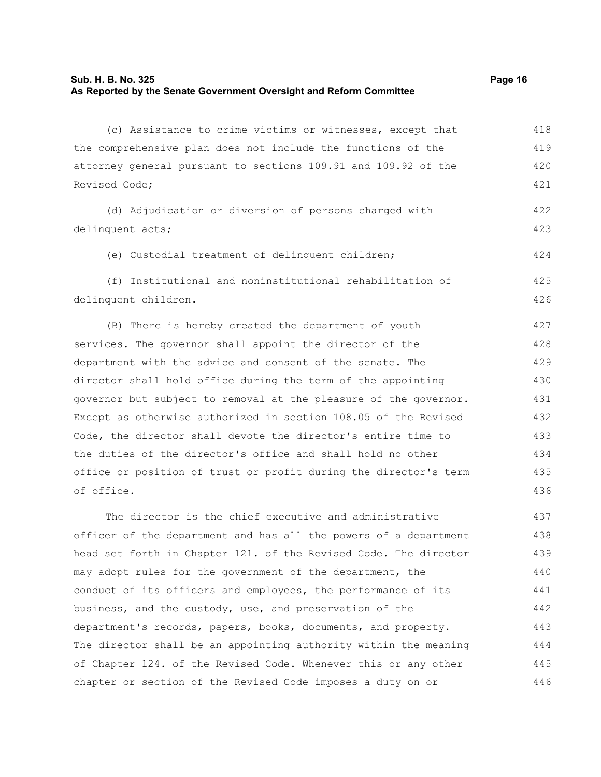#### **Sub. H. B. No. 325 Page 16 As Reported by the Senate Government Oversight and Reform Committee**

(c) Assistance to crime victims or witnesses, except that the comprehensive plan does not include the functions of the attorney general pursuant to sections 109.91 and 109.92 of the Revised Code; (d) Adjudication or diversion of persons charged with delinquent acts; (e) Custodial treatment of delinquent children; (f) Institutional and noninstitutional rehabilitation of delinquent children. (B) There is hereby created the department of youth services. The governor shall appoint the director of the department with the advice and consent of the senate. The director shall hold office during the term of the appointing governor but subject to removal at the pleasure of the governor. Except as otherwise authorized in section 108.05 of the Revised Code, the director shall devote the director's entire time to the duties of the director's office and shall hold no other office or position of trust or profit during the director's term of office. The director is the chief executive and administrative 418 419 420 421 422 423 424 425 426 427 428 429 430 431 432 433 434 435 436 437

officer of the department and has all the powers of a department head set forth in Chapter 121. of the Revised Code. The director may adopt rules for the government of the department, the conduct of its officers and employees, the performance of its business, and the custody, use, and preservation of the department's records, papers, books, documents, and property. The director shall be an appointing authority within the meaning of Chapter 124. of the Revised Code. Whenever this or any other chapter or section of the Revised Code imposes a duty on or 438 439 440 441 442 443 444 445 446